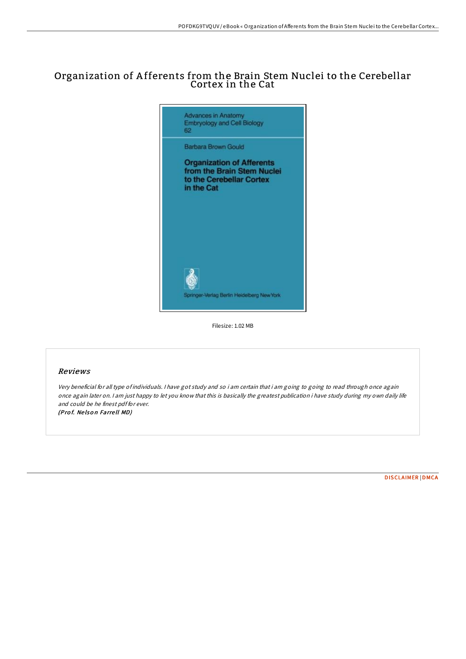## Organization of A fferents from the Brain Stem Nuclei to the Cerebellar Cortex in the Cat



Filesize: 1.02 MB

## Reviews

Very beneficial for all type of individuals. <sup>I</sup> have got study and so i am certain that i am going to going to read through once again once again later on. <sup>I</sup> am just happy to let you know that this is basically the greatest publication i have study during my own daily life and could be he finest pdf for ever. (Prof. Nelson Farrell MD)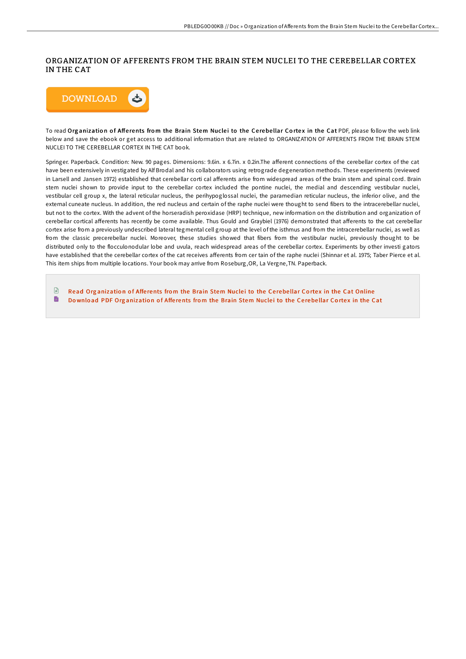## ORGANIZATION OF AFFERENTS FROM THE BRAIN STEM NUCLEI TO THE CEREBELLAR CORTEX IN THE CAT



To read Organization of Afferents from the Brain Stem Nuclei to the Cerebellar Cortex in the Cat PDF, please follow the web link below and save the ebook or get access to additional information that are related to ORGANIZATION OF AFFERENTS FROM THE BRAIN STEM NUCLEI TO THE CEREBELLAR CORTEX IN THE CAT book.

Springer. Paperback. Condition: New. 90 pages. Dimensions: 9.6in. x 6.7in. x 0.2in.The afferent connections of the cerebellar cortex of the cat have been extensively in vestigated by Alf Brodal and his collaborators using retrograde degeneration methods. These experiments (reviewed in Larsell and Jansen 1972) established that cerebellar corti cal afferents arise from widespread areas of the brain stem and spinal cord. Brain stem nuclei shown to provide input to the cerebellar cortex included the pontine nuclei, the medial and descending vestibular nuclei, vestibular cell group x, the lateral reticular nucleus, the perihypoglossal nuclei, the paramedian reticular nucleus, the inferior olive, and the external cuneate nucleus. In addition, the red nucleus and certain of the raphe nuclei were thought to send fibers to the intracerebellar nuclei, but not to the cortex. With the advent of the horseradish peroxidase (HRP) technique, new information on the distribution and organization of cerebellar cortical afferents has recently be come available. Thus Gould and Graybiel (1976) demonstrated that afferents to the cat cerebellar cortex arise from a previously undescribed lateral tegmental cell group at the level of the isthmus and from the intracerebellar nuclei, as well as from the classic precerebellar nuclei. Moreover, these studies showed that fibers from the vestibular nuclei, previously thought to be distributed only to the flocculonodular lobe and uvula, reach widespread areas of the cerebellar cortex. Experiments by other investi gators have established that the cerebellar cortex of the cat receives afferents from cer tain of the raphe nuclei (Shinnar et al. 1975; Taber Pierce et al. This item ships from multiple locations. Your book may arrive from Roseburg,OR, La Vergne,TN. Paperback.

 $\mathbb{R}$ Read Org[anizatio](http://almighty24.tech/organization-of-afferents-from-the-brain-stem-nu.html)n of Afferents from the Brain Stem Nuclei to the Cerebellar Cortex in the Cat Online B Download PDF Org[anizatio](http://almighty24.tech/organization-of-afferents-from-the-brain-stem-nu.html)n of Afferents from the Brain Stem Nuclei to the Cerebellar Cortex in the Cat